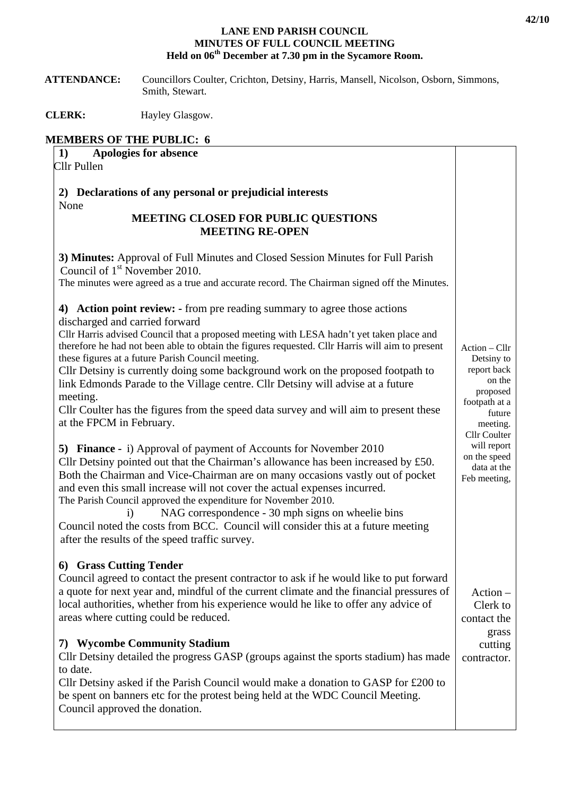## **LANE END PARISH COUNCIL MINUTES OF FULL COUNCIL MEETING Held on 06th December at 7.30 pm in the Sycamore Room.**

 **ATTENDANCE:** Councillors Coulter, Crichton, Detsiny, Harris, Mansell, Nicolson, Osborn, Simmons, Smith, Stewart.

**CLERK:** Hayley Glasgow.

## **MEMBERS OF THE PUBLIC: 6**

| 1)          | <b>Apologies for absence</b> |  |
|-------------|------------------------------|--|
| Cllr Pullen |                              |  |

**2) Declarations of any personal or prejudicial interests**  None

## **MEETING CLOSED FOR PUBLIC QUESTIONS MEETING RE-OPEN**

| <b>MEETING RE-OPEN</b>                                                                                                                                                                                                                                                                                                                                                                                                                                                                                                                                                                                                                                                                                                                                                                                                                                                                                                                                                                                                                                                                                                                                                                                                                                                                |                                                                                                                                                                                       |
|---------------------------------------------------------------------------------------------------------------------------------------------------------------------------------------------------------------------------------------------------------------------------------------------------------------------------------------------------------------------------------------------------------------------------------------------------------------------------------------------------------------------------------------------------------------------------------------------------------------------------------------------------------------------------------------------------------------------------------------------------------------------------------------------------------------------------------------------------------------------------------------------------------------------------------------------------------------------------------------------------------------------------------------------------------------------------------------------------------------------------------------------------------------------------------------------------------------------------------------------------------------------------------------|---------------------------------------------------------------------------------------------------------------------------------------------------------------------------------------|
| 3) Minutes: Approval of Full Minutes and Closed Session Minutes for Full Parish<br>Council of $1st$ November 2010.<br>The minutes were agreed as a true and accurate record. The Chairman signed off the Minutes.                                                                                                                                                                                                                                                                                                                                                                                                                                                                                                                                                                                                                                                                                                                                                                                                                                                                                                                                                                                                                                                                     |                                                                                                                                                                                       |
| 4) Action point review: - from pre reading summary to agree those actions<br>discharged and carried forward<br>Cllr Harris advised Council that a proposed meeting with LESA hadn't yet taken place and<br>therefore he had not been able to obtain the figures requested. Cllr Harris will aim to present<br>these figures at a future Parish Council meeting.<br>Cllr Detsiny is currently doing some background work on the proposed footpath to<br>link Edmonds Parade to the Village centre. Cllr Detsiny will advise at a future<br>meeting.<br>Cllr Coulter has the figures from the speed data survey and will aim to present these<br>at the FPCM in February.<br><b>5) Finance -</b> i) Approval of payment of Accounts for November 2010<br>Cllr Detsiny pointed out that the Chairman's allowance has been increased by $£50$ .<br>Both the Chairman and Vice-Chairman are on many occasions vastly out of pocket<br>and even this small increase will not cover the actual expenses incurred.<br>The Parish Council approved the expenditure for November 2010.<br>NAG correspondence - 30 mph signs on wheelie bins<br>$\ddot{1}$<br>Council noted the costs from BCC. Council will consider this at a future meeting<br>after the results of the speed traffic survey. | Action - Cllr<br>Detsiny to<br>report back<br>on the<br>proposed<br>footpath at a<br>future<br>meeting.<br>Cllr Coulter<br>will report<br>on the speed<br>data at the<br>Feb meeting, |
| 6) Grass Cutting Tender<br>Council agreed to contact the present contractor to ask if he would like to put forward<br>a quote for next year and, mindful of the current climate and the financial pressures of<br>local authorities, whether from his experience would he like to offer any advice of<br>areas where cutting could be reduced.                                                                                                                                                                                                                                                                                                                                                                                                                                                                                                                                                                                                                                                                                                                                                                                                                                                                                                                                        | $Action -$<br>Clerk to<br>contact the<br>grass                                                                                                                                        |
| 7) Wycombe Community Stadium<br>Cllr Detsiny detailed the progress GASP (groups against the sports stadium) has made<br>to date.<br>Cllr Detsiny asked if the Parish Council would make a donation to GASP for £200 to<br>be spent on banners etc for the protest being held at the WDC Council Meeting.<br>Council approved the donation.                                                                                                                                                                                                                                                                                                                                                                                                                                                                                                                                                                                                                                                                                                                                                                                                                                                                                                                                            |                                                                                                                                                                                       |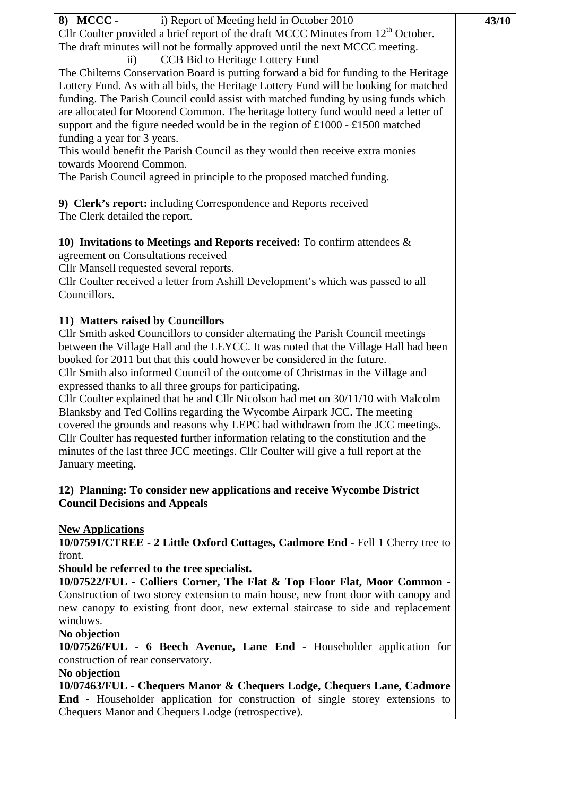| i) Report of Meeting held in October 2010<br>8) MCCC -<br>Cllr Coulter provided a brief report of the draft MCCC Minutes from 12 <sup>th</sup> October.<br>The draft minutes will not be formally approved until the next MCCC meeting.<br>CCB Bid to Heritage Lottery Fund<br>$\rm ii)$<br>The Chilterns Conservation Board is putting forward a bid for funding to the Heritage<br>Lottery Fund. As with all bids, the Heritage Lottery Fund will be looking for matched<br>funding. The Parish Council could assist with matched funding by using funds which<br>are allocated for Moorend Common. The heritage lottery fund would need a letter of<br>support and the figure needed would be in the region of £1000 - £1500 matched<br>funding a year for 3 years.<br>This would benefit the Parish Council as they would then receive extra monies<br>towards Moorend Common.<br>The Parish Council agreed in principle to the proposed matched funding. | 43/10 |  |
|---------------------------------------------------------------------------------------------------------------------------------------------------------------------------------------------------------------------------------------------------------------------------------------------------------------------------------------------------------------------------------------------------------------------------------------------------------------------------------------------------------------------------------------------------------------------------------------------------------------------------------------------------------------------------------------------------------------------------------------------------------------------------------------------------------------------------------------------------------------------------------------------------------------------------------------------------------------|-------|--|
| 9) Clerk's report: including Correspondence and Reports received<br>The Clerk detailed the report.                                                                                                                                                                                                                                                                                                                                                                                                                                                                                                                                                                                                                                                                                                                                                                                                                                                            |       |  |
| 10) Invitations to Meetings and Reports received: To confirm attendees $\&$<br>agreement on Consultations received<br>Cllr Mansell requested several reports.<br>Cllr Coulter received a letter from Ashill Development's which was passed to all<br>Councillors.                                                                                                                                                                                                                                                                                                                                                                                                                                                                                                                                                                                                                                                                                             |       |  |
| 11) Matters raised by Councillors<br>Cllr Smith asked Councillors to consider alternating the Parish Council meetings<br>between the Village Hall and the LEYCC. It was noted that the Village Hall had been<br>booked for 2011 but that this could however be considered in the future.<br>Cllr Smith also informed Council of the outcome of Christmas in the Village and<br>expressed thanks to all three groups for participating.<br>Cllr Coulter explained that he and Cllr Nicolson had met on 30/11/10 with Malcolm<br>Blanksby and Ted Collins regarding the Wycombe Airpark JCC. The meeting<br>covered the grounds and reasons why LEPC had withdrawn from the JCC meetings.<br>Cllr Coulter has requested further information relating to the constitution and the<br>minutes of the last three JCC meetings. Cllr Coulter will give a full report at the<br>January meeting.                                                                     |       |  |
| 12) Planning: To consider new applications and receive Wycombe District<br><b>Council Decisions and Appeals</b>                                                                                                                                                                                                                                                                                                                                                                                                                                                                                                                                                                                                                                                                                                                                                                                                                                               |       |  |
| <b>New Applications</b><br>10/07591/CTREE - 2 Little Oxford Cottages, Cadmore End - Fell 1 Cherry tree to<br>front.<br>Should be referred to the tree specialist.<br>10/07522/FUL - Colliers Corner, The Flat & Top Floor Flat, Moor Common -<br>Construction of two storey extension to main house, new front door with canopy and<br>new canopy to existing front door, new external staircase to side and replacement<br>windows.<br>No objection                                                                                                                                                                                                                                                                                                                                                                                                                                                                                                          |       |  |
| 10/07526/FUL - 6 Beech Avenue, Lane End - Householder application for<br>construction of rear conservatory.<br>No objection<br>10/07463/FUL - Chequers Manor & Chequers Lodge, Chequers Lane, Cadmore<br>End - Householder application for construction of single storey extensions to<br>Chequers Manor and Chequers Lodge (retrospective).                                                                                                                                                                                                                                                                                                                                                                                                                                                                                                                                                                                                                  |       |  |